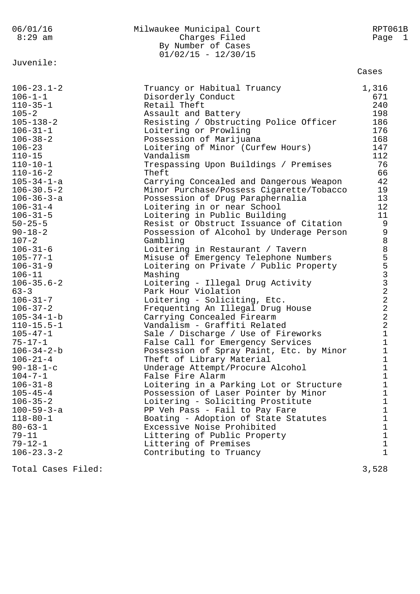| 06/01/16<br>$8:29$ am                                                                                                                                                                                                                                                                                                                                                                                                                                                                                                                                                                                                        | Milwaukee Municipal Court<br>Charges Filed<br>By Number of Cases<br>$01/02/15 - 12/30/15$                                                                                                                                                                                                                                                                                                                                                                                                                                                                                                                                                                                                                                                                                                                                                                                                                                                                                                                                                                                                                         | RPT061B<br>Page 1                                                                                                                                                                                                          |
|------------------------------------------------------------------------------------------------------------------------------------------------------------------------------------------------------------------------------------------------------------------------------------------------------------------------------------------------------------------------------------------------------------------------------------------------------------------------------------------------------------------------------------------------------------------------------------------------------------------------------|-------------------------------------------------------------------------------------------------------------------------------------------------------------------------------------------------------------------------------------------------------------------------------------------------------------------------------------------------------------------------------------------------------------------------------------------------------------------------------------------------------------------------------------------------------------------------------------------------------------------------------------------------------------------------------------------------------------------------------------------------------------------------------------------------------------------------------------------------------------------------------------------------------------------------------------------------------------------------------------------------------------------------------------------------------------------------------------------------------------------|----------------------------------------------------------------------------------------------------------------------------------------------------------------------------------------------------------------------------|
| Juvenile:                                                                                                                                                                                                                                                                                                                                                                                                                                                                                                                                                                                                                    |                                                                                                                                                                                                                                                                                                                                                                                                                                                                                                                                                                                                                                                                                                                                                                                                                                                                                                                                                                                                                                                                                                                   | Cases                                                                                                                                                                                                                      |
| $106 - 23.1 - 2$<br>$106 - 1 - 1$<br>$110 - 35 - 1$<br>$105 - 2$<br>$105 - 138 - 2$<br>$106 - 31 - 1$<br>$106 - 38 - 2$<br>$106 - 23$<br>$110 - 15$<br>$110 - 10 - 1$<br>$110 - 16 - 2$<br>$105 - 34 - 1 - a$<br>$106 - 30.5 - 2$<br>$106 - 36 - 3 - a$<br>$106 - 31 - 4$<br>$106 - 31 - 5$<br>$50 - 25 - 5$<br>$90 - 18 - 2$<br>$107 - 2$<br>$106 - 31 - 6$<br>$105 - 77 - 1$<br>$106 - 31 - 9$<br>$106 - 11$<br>$106 - 35.6 - 2$<br>$63 - 3$<br>$106 - 31 - 7$<br>$106 - 37 - 2$<br>$105 - 34 - 1 - b$<br>$110 - 15.5 - 1$<br>$105 - 47 - 1$<br>$75 - 17 - 1$<br>$106 - 34 - 2 - b$<br>$106 - 21 - 4$<br>$90 - 18 - 1 - c$ | Truancy or Habitual Truancy<br>Disorderly Conduct<br>Retail Theft<br>Assault and Battery<br>Resisting / Obstructing Police Officer<br>Loitering or Prowling<br>Possession of Marijuana<br>Loitering of Minor (Curfew Hours)<br>Vandalism<br>Trespassing Upon Buildings / Premises<br>Theft<br>Carrying Concealed and Dangerous Weapon<br>Minor Purchase/Possess Cigarette/Tobacco<br>Possession of Drug Paraphernalia<br>Loitering in or near School<br>Loitering in Public Building<br>Resist or Obstruct Issuance of Citation<br>Possession of Alcohol by Underage Person<br>Gambling<br>Loitering in Restaurant / Tavern<br>Misuse of Emergency Telephone Numbers<br>Loitering on Private / Public Property<br>Mashing<br>Loitering - Illegal Drug Activity<br>Park Hour Violation<br>Loitering - Soliciting, Etc.<br>Frequenting An Illegal Drug House<br>Carrying Concealed Firearm<br>Vandalism - Graffiti Related<br>Sale / Discharge / Use of Fireworks<br>False Call for Emergency Services<br>Possession of Spray Paint, Etc. by Minor<br>Theft of Library Material<br>Underage Attempt/Procure Alcohol | 1,316<br>671<br>240<br>198<br>186<br>176<br>168<br>147<br>112<br>76<br>66<br>42<br>19<br>13<br>12<br>11<br>998855332<br>$\sqrt{2}$<br>$\sqrt{2}$<br>$\sqrt{2}$<br>$\sqrt{2}$<br>$\mathbf{1}$<br>1<br>1<br>1<br>$\mathbf 1$ |
| $104 - 7 - 1$<br>$106 - 31 - 8$<br>$105 - 45 - 4$<br>$106 - 35 - 2$                                                                                                                                                                                                                                                                                                                                                                                                                                                                                                                                                          | False Fire Alarm<br>Loitering in a Parking Lot or Structure<br>Possession of Laser Pointer by Minor<br>Loitering - Soliciting Prostitute                                                                                                                                                                                                                                                                                                                                                                                                                                                                                                                                                                                                                                                                                                                                                                                                                                                                                                                                                                          | 1<br>$\mathbf 1$<br>1<br>$\mathbf 1$                                                                                                                                                                                       |
| $100 - 59 - 3 - a$<br>$118 - 80 - 1$<br>$80 - 63 - 1$<br>$79 - 11$<br>$79 - 12 - 1$                                                                                                                                                                                                                                                                                                                                                                                                                                                                                                                                          | PP Veh Pass - Fail to Pay Fare<br>Boating - Adoption of State Statutes<br>Excessive Noise Prohibited<br>Littering of Public Property<br>Littering of Premises                                                                                                                                                                                                                                                                                                                                                                                                                                                                                                                                                                                                                                                                                                                                                                                                                                                                                                                                                     | $\mathbf 1$<br>$\mathbf 1$<br>$\mathbf 1$<br>1<br>$\mathbf 1$                                                                                                                                                              |
| $106 - 23.3 - 2$                                                                                                                                                                                                                                                                                                                                                                                                                                                                                                                                                                                                             | Contributing to Truancy                                                                                                                                                                                                                                                                                                                                                                                                                                                                                                                                                                                                                                                                                                                                                                                                                                                                                                                                                                                                                                                                                           | 1                                                                                                                                                                                                                          |
| Total Cases Filed:                                                                                                                                                                                                                                                                                                                                                                                                                                                                                                                                                                                                           |                                                                                                                                                                                                                                                                                                                                                                                                                                                                                                                                                                                                                                                                                                                                                                                                                                                                                                                                                                                                                                                                                                                   | 3,528                                                                                                                                                                                                                      |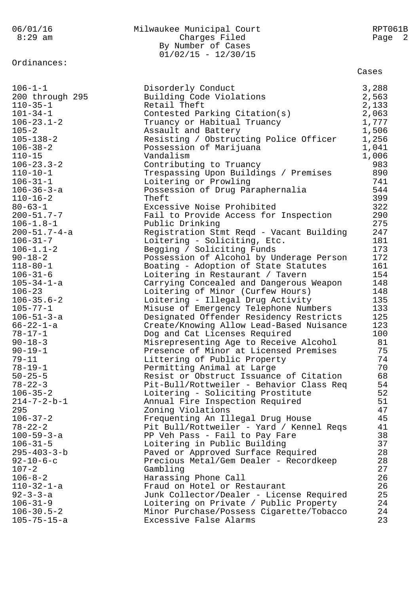| 8:29 am<br>Charges Filed<br>By Number of Cases<br>$01/02/15 - 12/30/15$<br>Ordinances:<br>Cases<br>$106 - 1 - 1$<br>Disorderly Conduct<br>3,288<br>200 through 295<br>Building Code Violations<br>2,563<br>$110 - 35 - 1$<br>Retail Theft<br>2,133<br>2,063<br>$101 - 34 - 1$<br>Contested Parking Citation(s)<br>1,777<br>$106 - 23.1 - 2$<br>Truancy or Habitual Truancy | Page 2 |
|----------------------------------------------------------------------------------------------------------------------------------------------------------------------------------------------------------------------------------------------------------------------------------------------------------------------------------------------------------------------------|--------|
|                                                                                                                                                                                                                                                                                                                                                                            |        |
|                                                                                                                                                                                                                                                                                                                                                                            |        |
|                                                                                                                                                                                                                                                                                                                                                                            |        |
|                                                                                                                                                                                                                                                                                                                                                                            |        |
|                                                                                                                                                                                                                                                                                                                                                                            |        |
|                                                                                                                                                                                                                                                                                                                                                                            |        |
|                                                                                                                                                                                                                                                                                                                                                                            |        |
|                                                                                                                                                                                                                                                                                                                                                                            |        |
|                                                                                                                                                                                                                                                                                                                                                                            |        |
|                                                                                                                                                                                                                                                                                                                                                                            |        |
| 1,506<br>$105 - 2$<br>Assault and Battery                                                                                                                                                                                                                                                                                                                                  |        |
| 1,256<br>$105 - 138 - 2$<br>Resisting / Obstructing Police Officer                                                                                                                                                                                                                                                                                                         |        |
| $106 - 38 - 2$<br>1,041<br>Possession of Marijuana                                                                                                                                                                                                                                                                                                                         |        |
| $110 - 15$<br>Vandalism<br>1,006                                                                                                                                                                                                                                                                                                                                           |        |
| $106 - 23.3 - 2$<br>Contributing to Truancy                                                                                                                                                                                                                                                                                                                                | 983    |
| $110 - 10 - 1$<br>Trespassing Upon Buildings / Premises                                                                                                                                                                                                                                                                                                                    | 890    |
| $106 - 31 - 1$<br>Loitering or Prowling                                                                                                                                                                                                                                                                                                                                    | 741    |
| $106 - 36 - 3 - a$<br>Possession of Drug Paraphernalia                                                                                                                                                                                                                                                                                                                     | 544    |
| $110 - 16 - 2$<br>Theft                                                                                                                                                                                                                                                                                                                                                    | 399    |
| $80 - 63 - 1$<br>Excessive Noise Prohibited                                                                                                                                                                                                                                                                                                                                | 322    |
| $200 - 51.7 - 7$<br>Fail to Provide Access for Inspection                                                                                                                                                                                                                                                                                                                  | 290    |
| $106 - 1.8 - 1$<br>Public Drinking                                                                                                                                                                                                                                                                                                                                         | 275    |
| $200 - 51.7 - 4 - a$<br>Registration Stmt Reqd - Vacant Building                                                                                                                                                                                                                                                                                                           | 247    |
| $106 - 31 - 7$<br>Loitering - Soliciting, Etc.                                                                                                                                                                                                                                                                                                                             | 181    |
| $106 - 1.1 - 2$<br>Begging / Soliciting Funds                                                                                                                                                                                                                                                                                                                              | 173    |
| $90 - 18 - 2$<br>Possession of Alcohol by Underage Person                                                                                                                                                                                                                                                                                                                  | 172    |
| $118 - 80 - 1$<br>Boating - Adoption of State Statutes                                                                                                                                                                                                                                                                                                                     | 161    |
| $106 - 31 - 6$<br>Loitering in Restaurant / Tavern                                                                                                                                                                                                                                                                                                                         | 154    |
| $105 - 34 - 1 - a$<br>Carrying Concealed and Dangerous Weapon                                                                                                                                                                                                                                                                                                              | 148    |
| $106 - 23$<br>Loitering of Minor (Curfew Hours)                                                                                                                                                                                                                                                                                                                            | 148    |
| $106 - 35.6 - 2$<br>Loitering - Illegal Drug Activity                                                                                                                                                                                                                                                                                                                      | 135    |
| $105 - 77 - 1$<br>Misuse of Emergency Telephone Numbers                                                                                                                                                                                                                                                                                                                    | 133    |
| $106 - 51 - 3 - a$<br>Designated Offender Residency Restricts                                                                                                                                                                                                                                                                                                              | 125    |
| $66 - 22 - 1 - a$<br>Create/Knowing Allow Lead-Based Nuisance                                                                                                                                                                                                                                                                                                              | 123    |
| $78 - 17 - 1$<br>Dog and Cat Licenses Required                                                                                                                                                                                                                                                                                                                             | 100    |
| Misrepresenting Age to Receive Alcohol<br>$90 - 18 - 3$                                                                                                                                                                                                                                                                                                                    | 81     |
| $90 - 19 - 1$<br>Presence of Minor at Licensed Premises                                                                                                                                                                                                                                                                                                                    | 75     |
| $79 - 11$<br>Littering of Public Property                                                                                                                                                                                                                                                                                                                                  | 74     |
| $78 - 19 - 1$<br>Permitting Animal at Large                                                                                                                                                                                                                                                                                                                                | 70     |
| $50 - 25 - 5$<br>Resist or Obstruct Issuance of Citation                                                                                                                                                                                                                                                                                                                   | 68     |
| Pit-Bull/Rottweiler - Behavior Class Req<br>$78 - 22 - 3$                                                                                                                                                                                                                                                                                                                  | 54     |
| $106 - 35 - 2$<br>Loitering - Soliciting Prostitute                                                                                                                                                                                                                                                                                                                        | 52     |
| $214 - 7 - 2 - b - 1$<br>Annual Fire Inspection Required                                                                                                                                                                                                                                                                                                                   | 51     |
| 295<br>Zoning Violations                                                                                                                                                                                                                                                                                                                                                   | 47     |
| $106 - 37 - 2$<br>Frequenting An Illegal Drug House                                                                                                                                                                                                                                                                                                                        | 45     |
| $78 - 22 - 2$<br>Pit Bull/Rottweiler - Yard / Kennel Regs                                                                                                                                                                                                                                                                                                                  | 41     |
| $100 - 59 - 3 - a$<br>PP Veh Pass - Fail to Pay Fare                                                                                                                                                                                                                                                                                                                       | 38     |
| $106 - 31 - 5$<br>Loitering in Public Building                                                                                                                                                                                                                                                                                                                             | 37     |
| $295 - 403 - 3 - b$<br>Paved or Approved Surface Required                                                                                                                                                                                                                                                                                                                  | 28     |
| $92 - 10 - 6 - c$<br>Precious Metal/Gem Dealer - Recordkeep                                                                                                                                                                                                                                                                                                                | 28     |
| $107 - 2$<br>Gambling                                                                                                                                                                                                                                                                                                                                                      | 27     |
| $106 - 8 - 2$<br>Harassing Phone Call                                                                                                                                                                                                                                                                                                                                      | 26     |
| $110 - 32 - 1 - a$<br>Fraud on Hotel or Restaurant                                                                                                                                                                                                                                                                                                                         | 26     |
| $92 - 3 - 3 - a$<br>Junk Collector/Dealer - License Required                                                                                                                                                                                                                                                                                                               | 25     |
| $106 - 31 - 9$<br>Loitering on Private / Public Property                                                                                                                                                                                                                                                                                                                   | 24     |
| $106 - 30.5 - 2$<br>Minor Purchase/Possess Cigarette/Tobacco                                                                                                                                                                                                                                                                                                               | 24     |
| $105 - 75 - 15 - a$<br>Excessive False Alarms                                                                                                                                                                                                                                                                                                                              | 23     |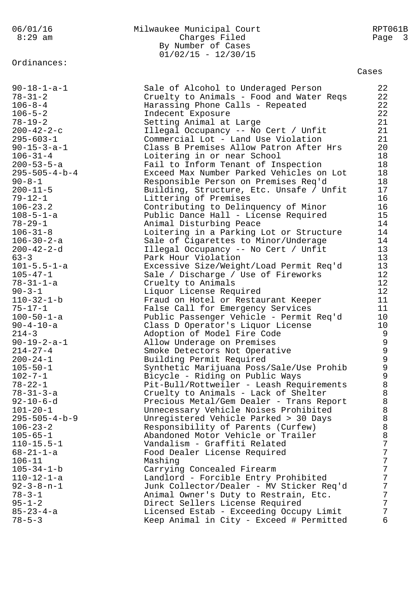Ordinances:

### 06/01/16 Milwaukee Municipal Court RPT061B 8:29 am Charges Filed Page 3 By Number of Cases  $01/02/15 - 12/30/15$

| $90 - 18 - 1 - a - 1$   | Sale of Alcohol to Underaged Person      | 22             |
|-------------------------|------------------------------------------|----------------|
| $78 - 31 - 2$           | Cruelty to Animals - Food and Water Reqs | 22             |
|                         |                                          | 22             |
| $106 - 8 - 4$           | Harassing Phone Calls - Repeated         |                |
| $106 - 5 - 2$           | Indecent Exposure                        | 22             |
| $78 - 19 - 2$           | Setting Animal at Large                  | 21             |
| $200 - 42 - 2 - c$      | Illegal Occupancy -- No Cert / Unfit     | 21             |
| $295 - 603 - 1$         | Commercial Lot - Land Use Violation      | 21             |
| $90 - 15 - 3 - a - 1$   | Class B Premises Allow Patron After Hrs  | 20             |
| $106 - 31 - 4$          | Loitering in or near School              | 18             |
|                         |                                          |                |
| $200 - 53 - 5 - a$      | Fail to Inform Tenant of Inspection      | 18             |
| $295 - 505 - 4 - b - 4$ | Exceed Max Number Parked Vehicles on Lot | 18             |
| $90 - 8 - 1$            | Responsible Person on Premises Req'd     | 18             |
| $200 - 11 - 5$          | Building, Structure, Etc. Unsafe / Unfit | 17             |
| $79 - 12 - 1$           | Littering of Premises                    | 16             |
| $106 - 23.2$            | Contributing to Delinquency of Minor     | 16             |
| $108 - 5 - 1 - a$       | Public Dance Hall - License Required     | 15             |
| $78 - 29 - 1$           | Animal Disturbing Peace                  | 14             |
|                         |                                          | 14             |
| $106 - 31 - 8$          | Loitering in a Parking Lot or Structure  |                |
| $106 - 30 - 2 - a$      | Sale of Cigarettes to Minor/Underage     | 14             |
| $200 - 42 - 2 - d$      | Illegal Occupancy -- No Cert / Unfit     | 13             |
| $63 - 3$                | Park Hour Violation                      | 13             |
| $101 - 5.5 - 1 - a$     | Excessive Size/Weight/Load Permit Req'd  | 13             |
| $105 - 47 - 1$          | Sale / Discharge / Use of Fireworks      | 12             |
| $78 - 31 - 1 - a$       | Cruelty to Animals                       | 12             |
| $90 - 3 - 1$            | Liquor License Required                  | 12             |
| $110 - 32 - 1 - b$      | Fraud on Hotel or Restaurant Keeper      | 11             |
| $75 - 17 - 1$           | False Call for Emergency Services        | 11             |
|                         |                                          |                |
| $100 - 50 - 1 - a$      | Public Passenger Vehicle - Permit Req'd  | 10             |
| $90 - 4 - 10 - a$       | Class D Operator's Liquor License        | 10             |
| $214 - 3$               | Adoption of Model Fire Code              | $\overline{9}$ |
| $90 - 19 - 2 - a - 1$   | Allow Underage on Premises               | $\mathsf 9$    |
| $214 - 27 - 4$          | Smoke Detectors Not Operative            | $\mathfrak{g}$ |
| $200 - 24 - 1$          | Building Permit Required                 | $\mathcal{G}$  |
| $105 - 50 - 1$          | Synthetic Marijuana Poss/Sale/Use Prohib | $\mathsf 9$    |
| $102 - 7 - 1$           | Bicycle - Riding on Public Ways          | $\mathsf 9$    |
| $78 - 22 - 1$           | Pit-Bull/Rottweiler - Leash Requirements | $\,8\,$        |
| $78 - 31 - 3 - a$       | Cruelty to Animals - Lack of Shelter     | 8              |
|                         |                                          |                |
| $92 - 10 - 6 - d$       | Precious Metal/Gem Dealer - Trans Report | 8              |
| $101 - 20 - 1$          | Unnecessary Vehicle Noises Prohibited    | 8              |
| $295 - 505 - 4 - b - 9$ | Unregistered Vehicle Parked > 30 Days    | $\,8\,$        |
| $106 - 23 - 2$          | Responsibility of Parents (Curfew)       | $\, 8$         |
| $105 - 65 - 1$          | Abandoned Motor Vehicle or Trailer       | $\, 8$         |
| $110 - 15.5 - 1$        | Vandalism - Graffiti Related             | 7              |
| $68 - 21 - 1 - a$       | Food Dealer License Required             | 7              |
| $106 - 11$              | Mashing                                  | 7              |
| $105 - 34 - 1 - b$      | Carrying Concealed Firearm               | 7              |
| $110 - 12 - 1 - a$      | Landlord - Forcible Entry Prohibited     | 7              |
| $92 - 3 - 8 - n - 1$    | Junk Collector/Dealer - MV Sticker Req'd | 7              |
|                         |                                          |                |
| $78 - 3 - 1$            | Animal Owner's Duty to Restrain, Etc.    | 7              |
| $95 - 1 - 2$            | Direct Sellers License Required          | 7              |
| $85 - 23 - 4 - a$       | Licensed Estab - Exceeding Occupy Limit  | 7              |
| $78 - 5 - 3$            | Keep Animal in City - Exceed # Permitted | 6              |
|                         |                                          |                |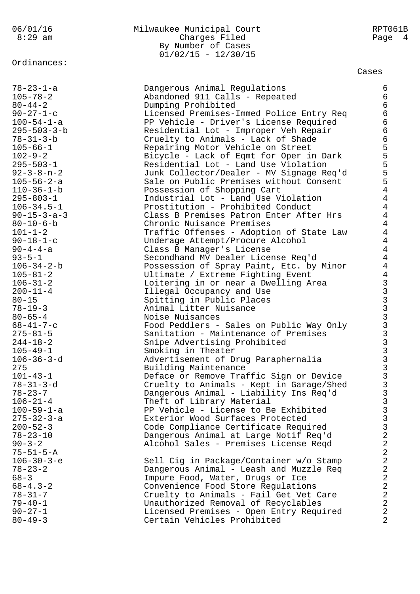Ordinances:

## 06/01/16 Milwaukee Municipal Court RPT061B Charges Filed Page 4 By Number of Cases  $01/02/15 - 12/30/15$

| 78-23-1-a             | Dangerous Animal Regulations             | 6              |
|-----------------------|------------------------------------------|----------------|
| $105 - 78 - 2$        | Abandoned 911 Calls - Repeated           | 6              |
| $80 - 44 - 2$         | Dumping Prohibited                       | 6              |
| $90 - 27 - 1 - c$     | Licensed Premises-Immed Police Entry Req | 6              |
| $100 - 54 - 1 - a$    | PP Vehicle - Driver's License Required   | 6              |
| $295 - 503 - 3 - b$   | Residential Lot - Improper Veh Repair    | 6              |
| $78 - 31 - 3 - b$     | Cruelty to Animals - Lack of Shade       | 6              |
| $105 - 66 - 1$        | Repairing Motor Vehicle on Street        | 5              |
| $102 - 9 - 2$         | Bicycle - Lack of Eqmt for Oper in Dark  | 5              |
| $295 - 503 - 1$       | Residential Lot - Land Use Violation     | 5              |
| $92 - 3 - 8 - n - 2$  | Junk Collector/Dealer - MV Signage Req'd | 5              |
| $105 - 56 - 2 - a$    | Sale on Public Premises without Consent  | 5              |
| $110 - 36 - 1 - b$    | Possession of Shopping Cart              | $\overline{4}$ |
| $295 - 803 - 1$       | Industrial Lot - Land Use Violation      | $\overline{4}$ |
| $106 - 34.5 - 1$      | Prostitution - Prohibited Conduct        | $\overline{4}$ |
| $90 - 15 - 3 - a - 3$ | Class B Premises Patron Enter After Hrs  | $\overline{4}$ |
| $80 - 10 - 6 - b$     | Chronic Nuisance Premises                | $\overline{4}$ |
| $101 - 1 - 2$         | Traffic Offenses - Adoption of State Law | $\overline{4}$ |
| $90 - 18 - 1 - c$     | Underage Attempt/Procure Alcohol         | $\overline{4}$ |
| $90 - 4 - 4 - a$      | Class B Manager's License                | $\overline{4}$ |
| $93 - 5 - 1$          | Secondhand MV Dealer License Req'd       | $\overline{4}$ |
| $106 - 34 - 2 - b$    | Possession of Spray Paint, Etc. by Minor | $\overline{4}$ |
| $105 - 81 - 2$        | Ultimate / Extreme Fighting Event        |                |
| $106 - 31 - 2$        | Loitering in or near a Dwelling Area     |                |
| $200 - 11 - 4$        | Illegal Occupancy and Use                |                |
| $80 - 15$             | Spitting in Public Places                |                |
| $78 - 19 - 3$         | Animal Litter Nuisance                   | 4 שמאמא מא     |
| $80 - 65 - 4$         | Noise Nuisances                          |                |
| $68 - 41 - 7 - c$     | Food Peddlers - Sales on Public Way Only |                |
| $275 - 81 - 5$        | Sanitation - Maintenance of Premises     |                |
| $244 - 18 - 2$        | Snipe Advertising Prohibited             |                |
| $105 - 49 - 1$        | Smoking in Theater                       |                |
| $106 - 36 - 3 - d$    | Advertisement of Drug Paraphernalia      |                |
| 275                   | Building Maintenance                     |                |
| $101 - 43 - 1$        | Deface or Remove Traffic Sign or Device  | 3              |
| 78-31-3-d             | Cruelty to Animals - Kept in Garage/Shed | 3              |
| $78 - 23 - 7$         | Dangerous Animal - Liability Ins Req'd   | ゝ              |
| $106 - 21 - 4$        | Theft of Library Material                | 3              |
| $100 - 59 - 1 - a$    | PP Vehicle - License to Be Exhibited     | 3              |
| $275 - 32 - 3 - a$    | Exterior Wood Surfaces Protected         | 3              |
| $200 - 52 - 3$        | Code Compliance Certificate Required     | 3              |
| $78 - 23 - 10$        | Dangerous Animal at Large Notif Req'd    | $\overline{a}$ |
| $90 - 3 - 2$          | Alcohol Sales - Premises License Reqd    | $\overline{a}$ |
| $75 - 51 - 5 - A$     |                                          | $\overline{a}$ |
| $106 - 30 - 3 - e$    | Sell Cig in Package/Container w/o Stamp  | $\overline{a}$ |
| $78 - 23 - 2$         | Dangerous Animal - Leash and Muzzle Req  | $\overline{a}$ |
| $68 - 3$              | Impure Food, Water, Drugs or Ice         | $\overline{a}$ |
| $68 - 4.3 - 2$        | Convenience Food Store Requlations       | $\overline{a}$ |
| $78 - 31 - 7$         | Cruelty to Animals - Fail Get Vet Care   | 2              |
| $79 - 40 - 1$         | Unauthorized Removal of Recyclables      | $\overline{a}$ |
| $90 - 27 - 1$         | Licensed Premises - Open Entry Required  | $\overline{a}$ |
| $80 - 49 - 3$         | Certain Vehicles Prohibited              | 2              |
|                       |                                          |                |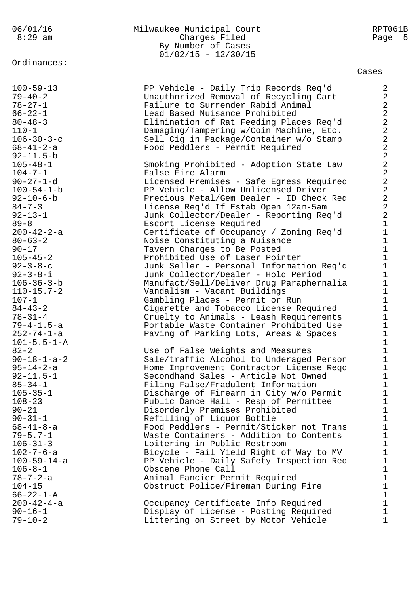Ordinances:

## 06/01/16 Milwaukee Municipal Court RPT061B Charges Filed Page 5 By Number of Cases  $01/02/15 - 12/30/15$

| $100 - 59 - 13$       | PP Vehicle - Daily Trip Records Req'd    | $\overline{a}$          |
|-----------------------|------------------------------------------|-------------------------|
| $79 - 40 - 2$         | Unauthorized Removal of Recycling Cart   | $\overline{a}$          |
| $78 - 27 - 1$         | Failure to Surrender Rabid Animal        | $\overline{\mathbf{c}}$ |
| $66 - 22 - 1$         | Lead Based Nuisance Prohibited           | $\overline{a}$          |
| $80 - 48 - 3$         | Elimination of Rat Feeding Places Req'd  | $\overline{a}$          |
|                       |                                          |                         |
| $110 - 1$             | Damaging/Tampering w/Coin Machine, Etc.  | $\overline{a}$          |
| $106 - 30 - 3 - c$    | Sell Cig in Package/Container w/o Stamp  | $\overline{\mathbf{c}}$ |
| $68 - 41 - 2 - a$     | Food Peddlers - Permit Required          | $\overline{\mathbf{c}}$ |
| $92 - 11.5 - b$       |                                          | $\frac{2}{2}$           |
| $105 - 48 - 1$        | Smoking Prohibited - Adoption State Law  |                         |
| $104 - 7 - 1$         | False Fire Alarm                         | $\overline{a}$          |
| $90 - 27 - 1 - d$     | Licensed Premises - Safe Egress Required | $\overline{a}$          |
| $100 - 54 - 1 - b$    | PP Vehicle - Allow Unlicensed Driver     | $\overline{a}$          |
| $92 - 10 - 6 - b$     | Precious Metal/Gem Dealer - ID Check Req | $\overline{\mathbf{c}}$ |
| $84 - 7 - 3$          | License Req'd If Estab Open 12am-5am     | $\overline{a}$          |
| $92 - 13 - 1$         | Junk Collector/Dealer - Reporting Req'd  | $\overline{a}$          |
| $89 - 8$              | Escort License Required                  | $\mathbf{1}$            |
| $200 - 42 - 2 - a$    | Certificate of Occupancy / Zoning Req'd  | $\mathbf{1}$            |
| $80 - 63 - 2$         | Noise Constituting a Nuisance            | $\mathbf{1}$            |
| $90 - 17$             | Tavern Charges to Be Posted              | $\frac{1}{1}$           |
| $105 - 45 - 2$        | Prohibited Use of Laser Pointer          |                         |
| $92 - 3 - 8 - c$      | Junk Seller - Personal Information Req'd | $\mathbf{1}$            |
| $92 - 3 - 8 - i$      | Junk Collector/Dealer - Hold Period      | $\mathbf{1}$            |
| 106-36-3-b            | Manufact/Sell/Deliver Drug Paraphernalia | $\mathbf{1}$            |
| $110 - 15.7 - 2$      | Vandalism - Vacant Buildings             | $\mathbf{1}$            |
| $107 - 1$             | Gambling Places - Permit or Run          | $\mathbf{1}$            |
| $84 - 43 - 2$         | Cigarette and Tobacco License Required   | $\mathbf{1}$            |
| $78 - 31 - 4$         | Cruelty to Animals - Leash Requirements  | $\mathbf{1}$            |
| 79-4-1.5-a            | Portable Waste Container Prohibited Use  | $\mathbf{1}$            |
| 252-74-1-a            | Paving of Parking Lots, Areas & Spaces   | $\mathbf{1}$            |
| $101 - 5.5 - 1 - A$   |                                          | $\mathbf{1}$            |
| $82 - 2$              | Use of False Weights and Measures        | $\mathbf{1}$            |
| $90 - 18 - 1 - a - 2$ | Sale/traffic Alcohol to Underaged Person | $\mathbf{1}$            |
| $95 - 14 - 2 - a$     | Home Improvement Contractor License Reqd | $\mathbf{1}$            |
| $92 - 11.5 - 1$       | Secondhand Sales - Article Not Owned     | $\mathbf 1$             |
| $85 - 34 - 1$         | Filing False/Fradulent Information       | $\mathbf 1$             |
| $105 - 35 - 1$        | Discharge of Firearm in City w/o Permit  | $\mathbf{1}$            |
| $108 - 23$            | Public Dance Hall - Resp of Permittee    | 1                       |
| $90 - 21$             | Disorderly Premises Prohibited           | 1                       |
| $90 - 31 - 1$         | Refilling of Liquor Bottle               | $\mathbf{1}$            |
| $68 - 41 - 8 - a$     | Food Peddlers - Permit/Sticker not Trans | $\mathbf{1}$            |
| $79 - 5.7 - 1$        | Waste Containers - Addition to Contents  |                         |
|                       |                                          | 1                       |
| $106 - 31 - 3$        | Loitering in Public Restroom             | $\mathbf{1}$            |
| $102 - 7 - 6 - a$     | Bicycle - Fail Yield Right of Way to MV  | $\mathbf 1$             |
| $100 - 59 - 14 - a$   | PP Vehicle - Daily Safety Inspection Req | $\mathbf{1}$            |
| $106 - 8 - 1$         | Obscene Phone Call                       | $\mathbf{1}$            |
| $78 - 7 - 2 - a$      | Animal Fancier Permit Required           | $\mathbf{1}$            |
| $104 - 15$            | Obstruct Police/Fireman During Fire      | $\mathbf{1}$            |
| $66 - 22 - 1 - A$     |                                          | $\mathbf{1}$            |
| $200 - 42 - 4 - a$    | Occupancy Certificate Info Required      | $\mathbf{1}$            |
| $90 - 16 - 1$         | Display of License - Posting Required    | 1                       |
| $79 - 10 - 2$         | Littering on Street by Motor Vehicle     | 1                       |
|                       |                                          |                         |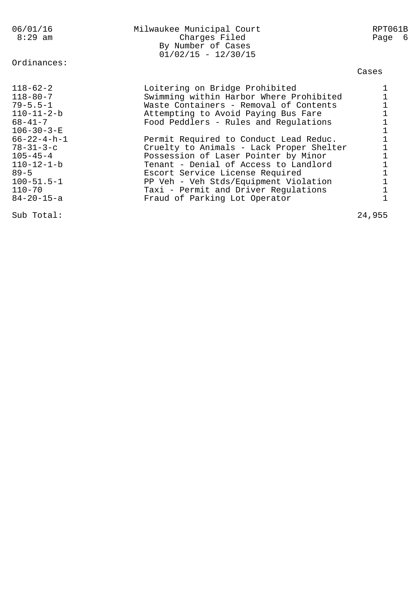| 06/01/16<br>$8:29$ am                                                                                                                                                                                       | Milwaukee Municipal Court<br>Charges Filed<br>By Number of Cases<br>$01/02/15 - 12/30/15$                                                                                                                                                                                                                                                                                                                     | RPT061B<br>Page 6 |
|-------------------------------------------------------------------------------------------------------------------------------------------------------------------------------------------------------------|---------------------------------------------------------------------------------------------------------------------------------------------------------------------------------------------------------------------------------------------------------------------------------------------------------------------------------------------------------------------------------------------------------------|-------------------|
| Ordinances:                                                                                                                                                                                                 |                                                                                                                                                                                                                                                                                                                                                                                                               | Cases             |
| $118 - 62 - 2$<br>$118 - 80 - 7$<br>$79 - 5.5 - 1$<br>$110 - 11 - 2 - b$<br>68-41-7<br>$106 - 30 - 3 - E$<br>$66 - 22 - 4 - h - 1$<br>$78 - 31 - 3 - c$<br>$105 - 45 - 4$<br>$110 - 12 - 1 - b$<br>$89 - 5$ | Loitering on Bridge Prohibited<br>Swimming within Harbor Where Prohibited<br>Waste Containers - Removal of Contents<br>Attempting to Avoid Paying Bus Fare<br>Food Peddlers - Rules and Regulations<br>Permit Required to Conduct Lead Reduc.<br>Cruelty to Animals - Lack Proper Shelter<br>Possession of Laser Pointer by Minor<br>Tenant - Denial of Access to Landlord<br>Escort Service License Required |                   |
| $100 - 51.5 - 1$<br>110-70<br>$84 - 20 - 15 - a$                                                                                                                                                            | PP Veh - Veh Stds/Equipment Violation<br>Taxi - Permit and Driver Regulations<br>Fraud of Parking Lot Operator                                                                                                                                                                                                                                                                                                |                   |

Sub Total: 24,955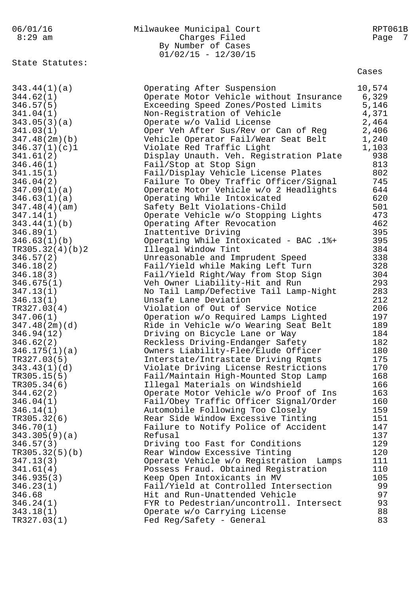06/01/16 Milwaukee Municipal Court RPT061B 8:29 am Charges Filed Page 7 By Number of Cases  $01/02/15 - 12/30/15$ State Statutes:  $343.44(1)(a)$  $346.57(5)$ <br> $341.04(1)$  $343.05(3)(a)$ <br> $341.03(1)$  $347.48(2m)(b)$  $346.37(1)(c)1$  $346.46(1)$  $341.15(1)$ 

| 343.44(1)(a)    | Operating After Suspension                | 10,574    |
|-----------------|-------------------------------------------|-----------|
| 344.62(1)       | Operate Motor Vehicle without Insurance   | 6,329     |
| 346.57(5)       | Exceeding Speed Zones/Posted Limits       | 5,146     |
| 341.04(1)       | Non-Registration of Vehicle               | 4,371     |
| 343.05(3)(a)    | Operate w/o Valid License                 | 2,464     |
| 341.03(1)       | Oper Veh After Sus/Rev or Can of Reg      | 2,406     |
| 347.48(2m)(b)   | Vehicle Operator Fail/Wear Seat Belt      | 1,240     |
| 346.37(1)(c)1   | Violate Red Traffic Light                 | 1,103     |
| 341.61(2)       | Display Unauth. Veh. Registration Plate   | 938       |
| 346.46(1)       | Fail/Stop at Stop Sign                    | 813       |
| 341.15(1)       | Fail/Display Vehicle License Plates       | 802       |
| 346.04(2)       | Failure To Obey Traffic Officer/Signal    | 745       |
| 347.09(1)(a)    | Operate Motor Vehicle w/o 2 Headlights    | 644       |
| 346.63(1)(a)    | Operating While Intoxicated               | 620       |
| 347.48(4)(am)   | Safety Belt Violations-Child              | 501       |
| 347.14(1)       | Operate Vehicle w/o Stopping Lights       | 473       |
| 343.44(1)(b)    | Operating After Revocation                | 462       |
| 346.89(1)       | Inattentive Driving                       | 395       |
| 346.63(1)(b)    | Operating While Intoxicated - BAC .1%+    | 395       |
| TR305.32(4)(b)2 | Illegal Window Tint                       | 384       |
| 346.57(2)       | Unreasonable and Imprudent Speed          | 338       |
| 346.18(2)       | Fail/Yield while Making Left Turn         | 328       |
| 346.18(3)       | Fail/Yield Right/Way from Stop Sign       | 304       |
| 346.675(1)      | Veh Owner Liability-Hit and Run           | 293       |
| 347.13(1)       | No Tail Lamp/Defective Tail Lamp-Night    | 283       |
| 346.13(1)       | Unsafe Lane Deviation                     | 212       |
| TR327.03(4)     | Violation of Out of Service Notice        | 206       |
| 347.06(1)       | Operation w/o Required Lamps Lighted      | 197       |
| 347.48(2m)(d)   | Ride in Vehicle w/o Wearing Seat Belt     | 189       |
| 346.94(12)      | Driving on Bicycle Lane or Way            | 184       |
| 346.62(2)       | Reckless Driving-Endanger Safety          | 182       |
| 346.175(1)(a)   | Owners Liability-Flee/Elude Officer       | 180       |
| TR327.03(5)     | Interstate/Intrastate Driving Rqmts       | 175       |
| 343.43(1)(d)    | Violate Driving License Restrictions      | 170       |
| TR305.15(5)     | Fail/Maintain High-Mounted Stop Lamp      | 168       |
| TR305.34(6)     | Illegal Materials on Windshield           | 166       |
| 344.62(2)       | Operate Motor Vehicle w/o Proof of Ins    | 163       |
| 346.04(1)       | Fail/Obey Traffic Officer Signal/Order    | 160       |
| 346.14(1)       | Automobile Following Too Closely          | 159       |
| TR305.32(6)     | Rear Side Window Excessive Tinting        | 151       |
| 346.70(1)       | Failure to Notify Police of Accident      | 147       |
| 343.305(9)(a)   | Refusal                                   | 137       |
| 346.57(3)       | Driving too Fast for Conditions           | 129       |
| TR305.32(5)(b)  | Rear Window Excessive Tinting             | 120       |
| 347.13(3)       | Operate Vehicle w/o Registration<br>Lamps | 111       |
| 341.61(4)       | Possess Fraud. Obtained Registration      | 110       |
|                 |                                           |           |
| 346.935(3)      | Keep Open Intoxicants in MV               | 105<br>99 |
| 346.23(1)       | Fail/Yield at Controlled Intersection     |           |
| 346.68          | Hit and Run-Unattended Vehicle            | 97        |
| 346.24(1)       | FYR to Pedestrian/uncontroll. Intersect   | 93        |
| 343.18(1)       | Operate w/o Carrying License              | 88        |
| TR327.03(1)     | Fed Reg/Safety - General                  | 83        |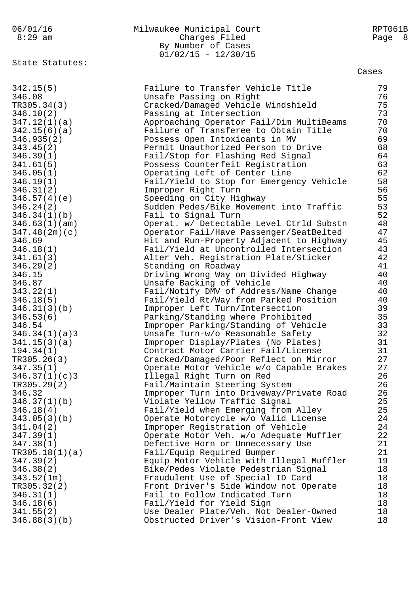06/01/16 Milwaukee Municipal Court RPT061B 8:29 am Charges Filed Page 8 By Number of Cases  $01/02/15 - 12/30/15$ State Statutes: Cases 342.15(5) Failure to Transfer Vehicle Title 79 346.08 Unsafe Passing on Right 76 TR305.34(3) Cracked/Damaged Vehicle Windshield 75 346.10(2) Passing at Intersection 73 347.12(1)(a) Approaching Operator Fail/Dim MultiBeams 70 342.15(6)(a) Failure of Transferee to Obtain Title 70 346.935(2) Possess Open Intoxicants in MV 69 343.45(2) Permit Unauthorized Person to Drive 68 346.39(1) Fail/Stop for Flashing Red Signal 64 341.61(5) Possess Counterfeit Registration 63 346.05(1) Operating Left of Center Line 62 346.19(1) Fail/Yield to Stop for Emergency Vehicle 58 346.31(2) Improper Right Turn 56 346.57(4)(e) Speeding on City Highway 55 346.24(2) Sudden Pedes/Bike Movement into Traffic 53 346.34(1)(b) Fail to Signal Turn 52 346.63(1)(am) Operat. w/ Detectable Level Ctrld Substn 48 347.48(2m)(c) Operator Fail/Have Passenger/SeatBelted 47 346.69 Hit and Run-Property Adjacent to Highway 45 346.18(1) Fail/Yield at Uncontrolled Intersection 43 341.61(3) Alter Veh. Registration Plate/Sticker 42 346.29(2) Standing on Roadway 41 346.15 Driving Wrong Way on Divided Highway 40 346.87 Unsafe Backing of Vehicle 40 343.22(1) Fail/Notify DMV of Address/Name Change 40 346.18(5) Fail/Yield Rt/Way from Parked Position 40 346.31(3)(b) Improper Left Turn/Intersection 39 346.53(6) Parking/Standing where Prohibited 35 346.54 Improper Parking/Standing of Vehicle 33 346.34(1)(a)3 Unsafe Turn-w/o Reasonable Safety 32 341.15(3)(a) Improper Display/Plates (No Plates) 31 194.34(1) Contract Motor Carrier Fail/License 31 TR305.26(3) Cracked/Damaged/Poor Reflect on Mirror 27 347.35(1) Operate Motor Vehicle w/o Capable Brakes 27 346.37(1)(c)3 Illegal Right Turn on Red 26 TR305.29(2) Fail/Maintain Steering System 26 346.32 Improper Turn into Driveway/Private Road 26 346.37(1)(b) Violate Yellow Traffic Signal 25 346.18(4) Fail/Yield when Emerging from Alley 25 343.05(3)(b) Operate Motorcycle w/o Valid License 24 341.04(2) Improper Registration of Vehicle 24 347.39(1) Operate Motor Veh. w/o Adequate Muffler 22 347.38(1) Defective Horn or Unnecessary Use 21 TR305.18(1)(a) Fail/Equip Required Bumper 21 347.39(2) Equip Motor Vehicle with Illegal Muffler 19 346.38(2) Bike/Pedes Violate Pedestrian Signal 18 343.52(1m) Fraudulent Use of Special ID Card 18 TR305.32(2) Front Driver's Side Window not Operate 18 346.31(1) Fail to Follow Indicated Turn 18 346.18(6) Fail/Yield for Yield Sign 18 341.55(2) Use Dealer Plate/Veh. Not Dealer-Owned 18 346.88(3)(b) Obstructed Driver's Vision-Front View 18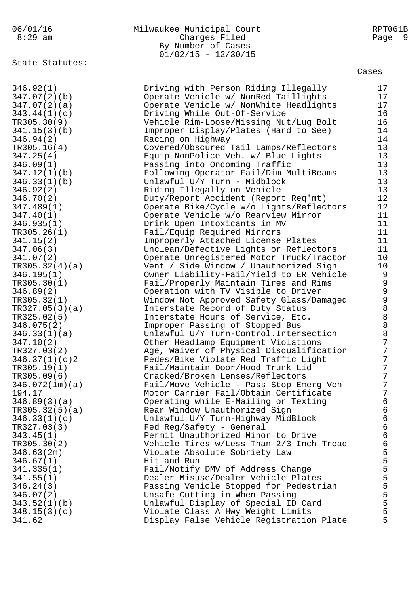# 06/01/16 Milwaukee Municipal Court RPT061B 8:29 am Charges Filed Page 9 By Number of Cases  $01/02/15 - 12/30/15$

State Statutes:

| 346.92(1)      | Driving with Person Riding Illegally     | 17               |
|----------------|------------------------------------------|------------------|
| 347.07(2)(b)   | Operate Vehicle w/ NonRed Taillights     | 17               |
| 347.07(2)(a)   | Operate Vehicle w/ NonWhite Headlights   | 17               |
|                |                                          |                  |
| 343.44(1)(c)   | Driving While Out-Of-Service             | 16               |
| TR305.30(9)    | Vehicle Rim-Loose/Missing Nut/Lug Bolt   | 16               |
| 341.15(3)(b)   | Improper Display/Plates (Hard to See)    | 14               |
| 346.94(2)      | Racing on Highway                        | 14               |
|                |                                          |                  |
| TR305.16(4)    | Covered/Obscured Tail Lamps/Reflectors   | 13               |
| 347.25(4)      | Equip NonPolice Veh. w/ Blue Lights      | 13               |
| 346.09(1)      | Passing into Oncoming Traffic            | 13               |
| 347.12(1)(b)   | Following Operator Fail/Dim MultiBeams   | 13               |
|                |                                          |                  |
| 346.33(1)(b)   | Unlawful U/Y Turn - Midblock             | 13               |
| 346.92(2)      | Riding Illegally on Vehicle              | 13               |
| 346.70(2)      | Duty/Report Accident (Report Req'mt)     | 12               |
| 347.489(1)     | Operate Bike/Cycle w/o Lights/Reflectors | 12               |
|                |                                          |                  |
| 347.40(1)      | Operate Vehicle w/o Rearview Mirror      | 11               |
| 346.935(1)     | Drink Open Intoxicants in MV             | 11               |
| TR305.26(1)    | Fail/Equip Required Mirrors              | 11               |
| 341.15(2)      | Improperly Attached License Plates       | 11               |
|                |                                          |                  |
| 347.06(3)      | Unclean/Defective Lights or Reflectors   | 11               |
| 341.07(2)      | Operate Unregistered Motor Truck/Tractor | 10               |
| TR305.32(4)(a) | Vent / Side Window / Unauthorized Sign   | 10               |
| 346.195(1)     | Owner Liability-Fail/Yield to ER Vehicle | $\overline{9}$   |
| TR305.30(1)    |                                          | $\overline{9}$   |
|                | Fail/Properly Maintain Tires and Rims    |                  |
| 346.89(2)      | Operation with TV Visible to Driver      | $\mathcal{G}$    |
| TR305.32(1)    | Window Not Approved Safety Glass/Damaged | $\mathcal{G}$    |
| TR327.05(3)(a) | Interstate Record of Duty Status         | $\,8\,$          |
| TR325.02(5)    | Interstate Hours of Service, Etc.        | $\,8\,$          |
|                |                                          |                  |
| 346.075(2)     | Improper Passing of Stopped Bus          | $\,8\,$          |
| 346.33(1)(a)   | Unlawful U/Y Turn-Control. Intersection  | $\,8\,$          |
| 347.10(2)      | Other Headlamp Equipment Violations      | $\overline{7}$   |
| TR327.03(2)    | Age, Waiver of Physical Disqualification | $\overline{7}$   |
|                |                                          | $\overline{7}$   |
| 346.37(1)(c)2  | Pedes/Bike Violate Red Traffic Light     |                  |
| TR305.19(1)    | Fail/Maintain Door/Hood Trunk Lid        | $\overline{7}$   |
| TR305.09(6)    | Cracked/Broken Lenses/Reflectors         | $\overline{7}$   |
| 346.072(1m)(a) | Fail/Move Vehicle - Pass Stop Emerg Veh  | $\boldsymbol{7}$ |
| 194.17         | Motor Carrier Fail/Obtain Certificate    | 7                |
|                |                                          |                  |
| 346.89(3)(a)   | Operating while E-Mailing or Texting     | 6                |
| TR305.32(5)(a) | Rear Window Unauthorized Sign            | 6                |
| 346.33(1)(c)   | Unlawful U/Y Turn-Highway MidBlock       | $\epsilon$       |
| TR327.03(3)    | Fed Reg/Safety - General                 | $\epsilon$       |
| 343.45(1)      | Permit Unauthorized Minor to Drive       | $\epsilon$       |
|                |                                          |                  |
| TR305.30(2)    | Vehicle Tires w/Less Than 2/3 Inch Tread | $\epsilon$       |
| 346.63(2m)     | Violate Absolute Sobriety Law            | 5                |
| 346.67(1)      | Hit and Run                              | 5                |
| 341.335(1)     | Fail/Notify DMV of Address Change        | 5                |
|                |                                          |                  |
| 341.55(1)      | Dealer Misuse/Dealer Vehicle Plates      | 5                |
| 346.24(3)      | Passing Vehicle Stopped for Pedestrian   | 5                |
| 346.07(2)      | Unsafe Cutting in When Passing           | 5                |
| 343.52(1)(b)   | Unlawful Display of Special ID Card      | 5                |
|                |                                          | 5                |
| 348.15(3)(c)   | Violate Class A Hwy Weight Limits        |                  |
| 341.62         | Display False Vehicle Registration Plate | 5                |
|                |                                          |                  |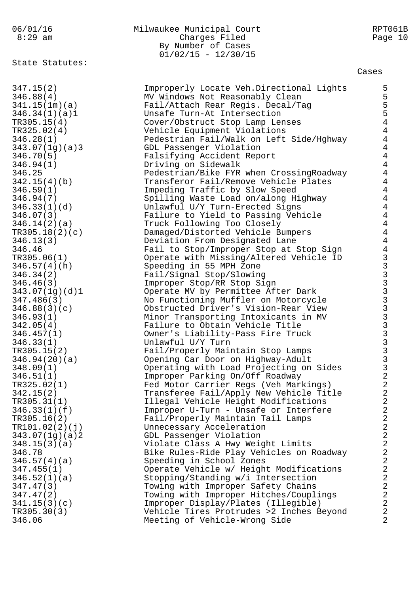06/01/16 Milwaukee Municipal Court RPT061B 8:29 am Charges Filed Page 10 By Number of Cases  $01/02/15 - 12/30/15$ State Statutes: Cases 347.15(2) Improperly Locate Veh.Directional Lights 5 346.88(4) MV Windows Not Reasonably Clean 5 341.15(1m)(a) Fail/Attach Rear Regis. Decal/Tag 5 346.34(1)(a)1 Unsafe Turn-At Intersection 5 TR305.15(4) Cover/Obstruct Stop Lamp Lenses 4 TR325.02(4) Vehicle Equipment Violations 4 346.28(1) Pedestrian Fail/Walk on Left Side/Hghway 4 343.07(1g)(a)3 GDL Passenger Violation 4 346.70(5) Falsifying Accident Report 4 346.94(1) Driving on Sidewalk 4 346.25 Pedestrian/Bike FYR when CrossingRoadway 4 342.15(4)(b) Transferor Fail/Remove Vehicle Plates 4 346.59(1) Impeding Traffic by Slow Speed 4 346.94(7) Spilling Waste Load on/along Highway 4 346.33(1)(d) Unlawful U/Y Turn-Erected Signs 4 346.07(3) Failure to Yield to Passing Vehicle 4 346.14(2)(a) Truck Following Too Closely 4 TR305.18(2)(c) Damaged/Distorted Vehicle Bumpers 4 346.13(3) Deviation From Designated Lane 4 346.46 Fail to Stop/Improper Stop at Stop Sign 4 TR305.06(1) Operate with Missing/Altered Vehicle ID 3 346.57(4)(h) Speeding in 55 MPH Zone 3 346.34(2) Fail/Signal Stop/Slowing 3 346.46(3) Improper Stop/RR Stop Sign 3 343.07(1g)(d)1 Operate MV by Permittee After Dark 3 347.486(3) Mo Functioning Muffler on Motorcycle 3 346.88(3)(c) Obstructed Driver's Vision-Rear View 3 346.93(1) Minor Transporting Intoxicants in MV 3 342.05(4) Failure to Obtain Vehicle Title 3 346.457(1) Owner's Liability-Pass Fire Truck 3 346.33(1) Unlawful U/Y Turn 3 TR305.15(2) Fail/Properly Maintain Stop Lamps 346.94(20)(a) Opening Car Door on Highway-Adult 3 348.09(1) Operating with Load Projecting on Sides 3 346.51(1) Improper Parking On/Off Roadway 2 TR325.02(1) Fed Motor Carrier Regs (Veh Markings) 2 342.15(2) Transferee Fail/Apply New Vehicle Title 2 TR305.31(1) Illegal Vehicle Height Modifications 2 346.33(1)(f) Improper U-Turn - Unsafe or Interfere 2 TR305.16(2) Fail/Properly Maintain Tail Lamps 2 TR101.02(2)(j) Unnecessary Acceleration 2 343.07(1g)(a)2 GDL Passenger Violation 2 348.15(3)(a) Violate Class A Hwy Weight Limits 2 346.78 Bike Rules-Ride Play Vehicles on Roadway 2 346.57(4)(a) Speeding in School Zones 2 347.455(1) Operate Vehicle w/ Height Modifications 2 346.52(1)(a) Stopping/Standing w/i Intersection 2 347.47(3) Towing with Improper Safety Chains 2 347.47(2) Towing with Improper Hitches/Couplings 2 341.15(3)(c) Improper Display/Plates (Illegible) 2 TR305.30(3) Vehicle Tires Protrudes >2 Inches Beyond 2 346.06 Meeting of Vehicle-Wrong Side 2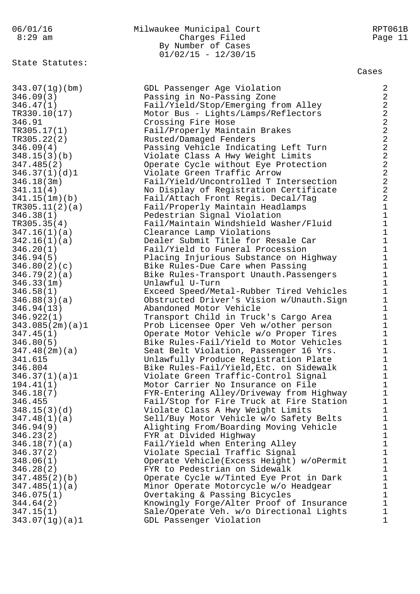State Statutes:

## 06/01/16 Milwaukee Municipal Court RPT061B 8:29 am Charges Filed Page 11 By Number of Cases  $01/02/15 - 12/30/15$

Cases

343.07(1g)(bm) GDL Passenger Age Violation 2 346.09(3) Passing in No-Passing Zone 2 346.47(1) Fail/Yield/Stop/Emerging from Alley 2 TR330.10(17) Motor Bus - Lights/Lamps/Reflectors 2 346.91 Crossing Fire Hose 2 TR305.17(1) Fail/Properly Maintain Brakes 2 TR305.22(2) Rusted/Damaged Fenders 2 346.09(4) Passing Vehicle Indicating Left Turn 2 348.15(3)(b) Violate Class A Hwy Weight Limits 2 347.485(2) Operate Cycle without Eye Protection 2 346.37(1)(d)1 Violate Green Traffic Arrow 2 346.18(3m) Fail/Yield/Uncontrolled T Intersection 2 341.11(4) No Display of Registration Certificate 2 341.15(1m)(b) Fail/Attach Front Regis. Decal/Tag 2 TR305.11(2)(a) Fail/Properly Maintain Headlamps 1 346.38(1) Pedestrian Signal Violation 1 TR305.35(4) Fail/Maintain Windshield Washer/Fluid 1 347.16(1)(a) Clearance Lamp Violations 1 342.16(1)(a) Dealer Submit Title for Resale Car 1 346.20(1) Fail/Yield to Funeral Procession 1 346.94(5) Placing Injurious Substance on Highway 1 346.80(2)(c) Bike Rules-Due Care when Passing 1 346.79(2)(a) Bike Rules-Transport Unauth.Passengers 1 346.33(1m) Unlawful U-Turn 1 346.58(1) Exceed Speed/Metal-Rubber Tired Vehicles 1 346.88(3)(a) Obstructed Driver's Vision w/Unauth.Sign 1 346.94(13) Abandoned Motor Vehicle 1 346.922(1) Transport Child in Truck's Cargo Area 1 343.085(2m)(a)1 Prob Licensee Oper Veh w/other person 1 347.45(1) Operate Motor Vehicle w/o Proper Tires 1 346.80(5) Bike Rules-Fail/Yield to Motor Vehicles 1 347.48(2m)(a) Seat Belt Violation, Passenger 16 Yrs. 1 341.615 Unlawfully Produce Registration Plate 1 346.804 Bike Rules-Fail/Yield,Etc. on Sidewalk 1 346.37(1)(a)1 Violate Green Traffic-Control Signal 1 194.41(1) Motor Carrier No Insurance on File 1 346.18(7) FYR-Entering Alley/Driveway from Highway 1 346.455 Fail/Stop for Fire Truck at Fire Station 1 348.15(3)(d) Violate Class A Hwy Weight Limits 1 347.48(1)(a) Sell/Buy Motor Vehicle w/o Safety Belts 1 346.94(9) Alighting From/Boarding Moving Vehicle 1 346.23(2) FYR at Divided Highway 1 346.18(7)(a) Fail/Yield when Entering Alley 1 346.37(2) Violate Special Traffic Signal 1 348.06(1) Operate Vehicle(Excess Height) w/oPermit 1 346.28(2) FYR to Pedestrian on Sidewalk 1 347.485(2)(b) Operate Cycle w/Tinted Eye Prot in Dark 1 347.485(1)(a) Minor Operate Motorcycle w/o Headgear 1 346.075(1) Overtaking & Passing Bicycles 1 344.64(2) Knowingly Forge/Alter Proof of Insurance 1 347.15(1) Sale/Operate Veh. w/o Directional Lights 1 343.07(1g)(a)1 GDL Passenger Violation 1